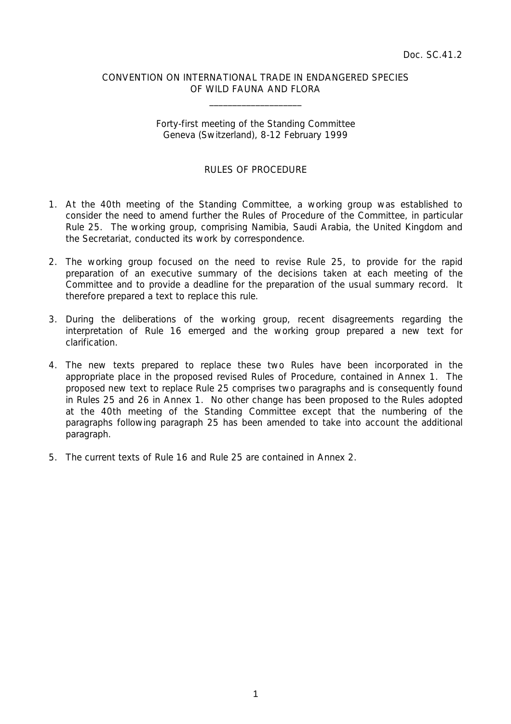### CONVENTION ON INTERNATIONAL TRADE IN ENDANGERED SPECIES OF WILD FAUNA AND FLORA

 $\overline{\phantom{a}}$  , which is a set of the set of the set of the set of the set of the set of the set of the set of the set of the set of the set of the set of the set of the set of the set of the set of the set of the set of th

## Forty-first meeting of the Standing Committee Geneva (Switzerland), 8-12 February 1999

### RULES OF PROCEDURE

- 1. At the 40th meeting of the Standing Committee, a working group was established to consider the need to amend further the Rules of Procedure of the Committee, in particular Rule 25. The working group, comprising Namibia, Saudi Arabia, the United Kingdom and the Secretariat, conducted its work by correspondence.
- 2. The working group focused on the need to revise Rule 25, to provide for the rapid preparation of an executive summary of the decisions taken at each meeting of the Committee and to provide a deadline for the preparation of the usual summary record. It therefore prepared a text to replace this rule.
- 3. During the deliberations of the working group, recent disagreements regarding the interpretation of Rule 16 emerged and the working group prepared a new text for clarification.
- 4. The new texts prepared to replace these two Rules have been incorporated in the appropriate place in the proposed revised Rules of Procedure, contained in Annex 1. The proposed new text to replace Rule 25 comprises two paragraphs and is consequently found in Rules 25 and 26 in Annex 1. No other change has been proposed to the Rules adopted at the 40th meeting of the Standing Committee except that the numbering of the paragraphs following paragraph 25 has been amended to take into account the additional paragraph.
- 5. The current texts of Rule 16 and Rule 25 are contained in Annex 2.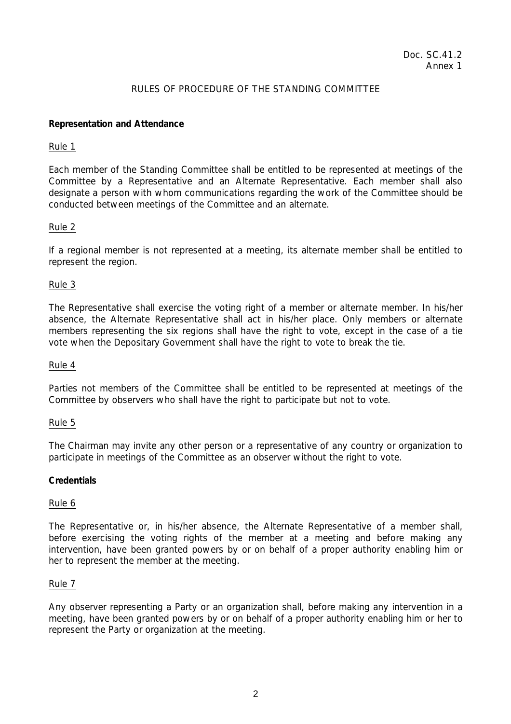# Doc. SC.41.2 Annex 1

## RULES OF PROCEDURE OF THE STANDING COMMITTEE

## **Representation and Attendance**

### Rule 1

Each member of the Standing Committee shall be entitled to be represented at meetings of the Committee by a Representative and an Alternate Representative. Each member shall also designate a person with whom communications regarding the work of the Committee should be conducted between meetings of the Committee and an alternate.

## Rule 2

If a regional member is not represented at a meeting, its alternate member shall be entitled to represent the region.

## Rule 3

The Representative shall exercise the voting right of a member or alternate member. In his/her absence, the Alternate Representative shall act in his/her place. Only members or alternate members representing the six regions shall have the right to vote, except in the case of a tie vote when the Depositary Government shall have the right to vote to break the tie.

## Rule 4

Parties not members of the Committee shall be entitled to be represented at meetings of the Committee by observers who shall have the right to participate but not to vote.

## Rule 5

The Chairman may invite any other person or a representative of any country or organization to participate in meetings of the Committee as an observer without the right to vote.

## **Credentials**

## Rule 6

The Representative or, in his/her absence, the Alternate Representative of a member shall, before exercising the voting rights of the member at a meeting and before making any intervention, have been granted powers by or on behalf of a proper authority enabling him or her to represent the member at the meeting.

## Rule 7

Any observer representing a Party or an organization shall, before making any intervention in a meeting, have been granted powers by or on behalf of a proper authority enabling him or her to represent the Party or organization at the meeting.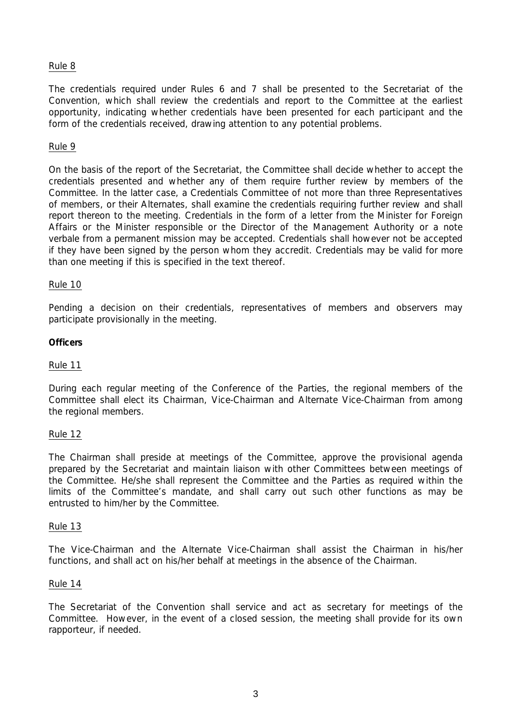## Rule 8

The credentials required under Rules 6 and 7 shall be presented to the Secretariat of the Convention, which shall review the credentials and report to the Committee at the earliest opportunity, indicating whether credentials have been presented for each participant and the form of the credentials received, drawing attention to any potential problems.

## Rule 9

On the basis of the report of the Secretariat, the Committee shall decide whether to accept the credentials presented and whether any of them require further review by members of the Committee. In the latter case, a Credentials Committee of not more than three Representatives of members, or their Alternates, shall examine the credentials requiring further review and shall report thereon to the meeting. Credentials in the form of a letter from the Minister for Foreign Affairs or the Minister responsible or the Director of the Management Authority or a *note verbale* from a permanent mission may be accepted. Credentials shall however not be accepted if they have been signed by the person whom they accredit. Credentials may be valid for more than one meeting if this is specified in the text thereof.

### Rule 10

Pending a decision on their credentials, representatives of members and observers may participate provisionally in the meeting.

### **Officers**

### Rule 11

During each regular meeting of the Conference of the Parties, the regional members of the Committee shall elect its Chairman, Vice-Chairman and Alternate Vice-Chairman from among the regional members.

#### Rule 12

The Chairman shall preside at meetings of the Committee, approve the provisional agenda prepared by the Secretariat and maintain liaison with other Committees between meetings of the Committee. He/she shall represent the Committee and the Parties as required within the limits of the Committee's mandate, and shall carry out such other functions as may be entrusted to him/her by the Committee.

#### Rule 13

The Vice-Chairman and the Alternate Vice-Chairman shall assist the Chairman in his/her functions, and shall act on his/her behalf at meetings in the absence of the Chairman.

#### Rule 14

The Secretariat of the Convention shall service and act as secretary for meetings of the Committee. However, in the event of a closed session, the meeting shall provide for its own rapporteur, if needed.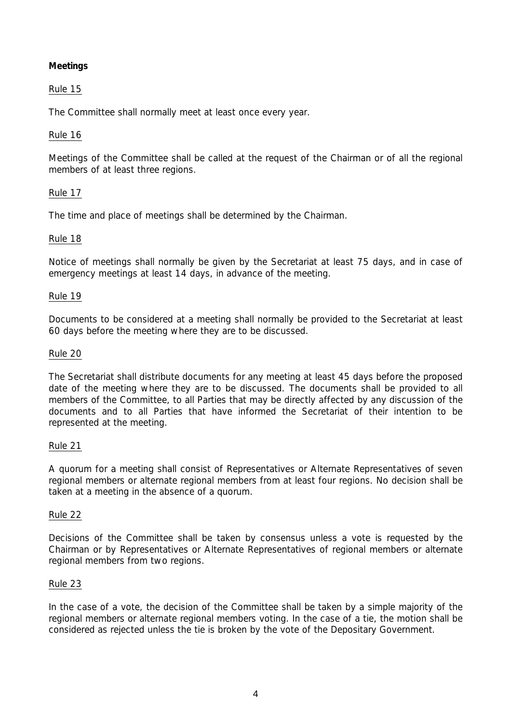# **Meetings**

# Rule 15

The Committee shall normally meet at least once every year.

# Rule 16

Meetings of the Committee shall be called at the request of the Chairman or of all the regional members of at least three regions.

# Rule 17

The time and place of meetings shall be determined by the Chairman.

# Rule 18

Notice of meetings shall normally be given by the Secretariat at least 75 days, and in case of emergency meetings at least 14 days, in advance of the meeting.

## Rule 19

Documents to be considered at a meeting shall normally be provided to the Secretariat at least 60 days before the meeting where they are to be discussed.

# Rule 20

The Secretariat shall distribute documents for any meeting at least 45 days before the proposed date of the meeting where they are to be discussed. The documents shall be provided to all members of the Committee, to all Parties that may be directly affected by any discussion of the documents and to all Parties that have informed the Secretariat of their intention to be represented at the meeting.

## Rule 21

A quorum for a meeting shall consist of Representatives or Alternate Representatives of seven regional members or alternate regional members from at least four regions. No decision shall be taken at a meeting in the absence of a quorum.

## Rule 22

Decisions of the Committee shall be taken by consensus unless a vote is requested by the Chairman or by Representatives or Alternate Representatives of regional members or alternate regional members from two regions.

## Rule 23

In the case of a vote, the decision of the Committee shall be taken by a simple majority of the regional members or alternate regional members voting. In the case of a tie, the motion shall be considered as rejected unless the tie is broken by the vote of the Depositary Government.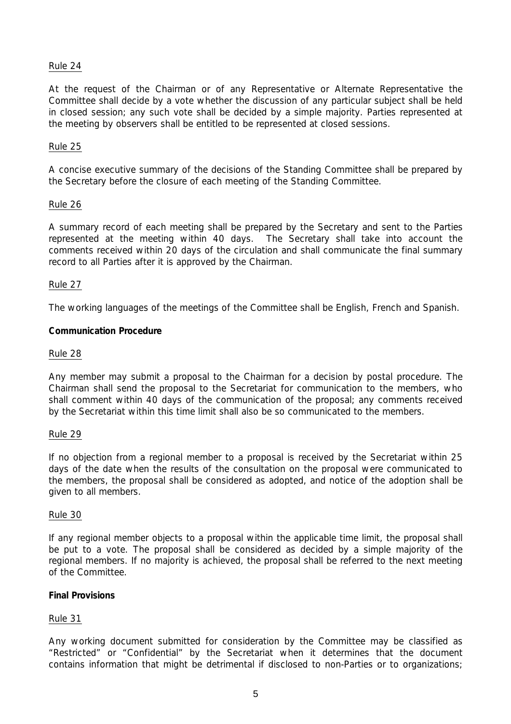## Rule 24

At the request of the Chairman or of any Representative or Alternate Representative the Committee shall decide by a vote whether the discussion of any particular subject shall be held in closed session; any such vote shall be decided by a simple majority. Parties represented at the meeting by observers shall be entitled to be represented at closed sessions.

## Rule 25

A concise executive summary of the decisions of the Standing Committee shall be prepared by the Secretary before the closure of each meeting of the Standing Committee.

### Rule 26

A summary record of each meeting shall be prepared by the Secretary and sent to the Parties represented at the meeting within 40 days. The Secretary shall take into account the comments received within 20 days of the circulation and shall communicate the final summary record to all Parties after it is approved by the Chairman.

### Rule 27

The working languages of the meetings of the Committee shall be English, French and Spanish.

### **Communication Procedure**

### Rule 28

Any member may submit a proposal to the Chairman for a decision by postal procedure. The Chairman shall send the proposal to the Secretariat for communication to the members, who shall comment within 40 days of the communication of the proposal; any comments received by the Secretariat within this time limit shall also be so communicated to the members.

#### Rule 29

If no objection from a regional member to a proposal is received by the Secretariat within 25 days of the date when the results of the consultation on the proposal were communicated to the members, the proposal shall be considered as adopted, and notice of the adoption shall be given to all members.

#### Rule 30

If any regional member objects to a proposal within the applicable time limit, the proposal shall be put to a vote. The proposal shall be considered as decided by a simple majority of the regional members. If no majority is achieved, the proposal shall be referred to the next meeting of the Committee.

#### **Final Provisions**

## Rule 31

Any working document submitted for consideration by the Committee may be classified as "Restricted" or "Confidential" by the Secretariat when it determines that the document contains information that might be detrimental if disclosed to non-Parties or to organizations;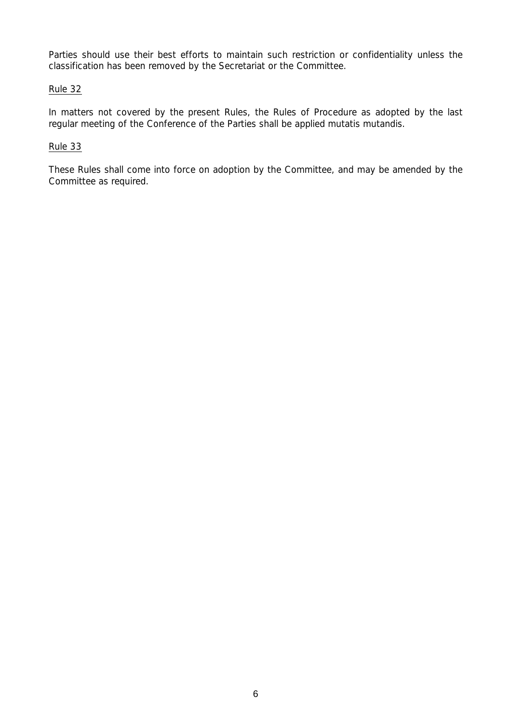Parties should use their best efforts to maintain such restriction or confidentiality unless the classification has been removed by the Secretariat or the Committee.

# Rule 32

In matters not covered by the present Rules, the Rules of Procedure as adopted by the last regular meeting of the Conference of the Parties shall be applied *mutatis mutandis*.

# Rule 33

These Rules shall come into force on adoption by the Committee, and may be amended by the Committee as required.